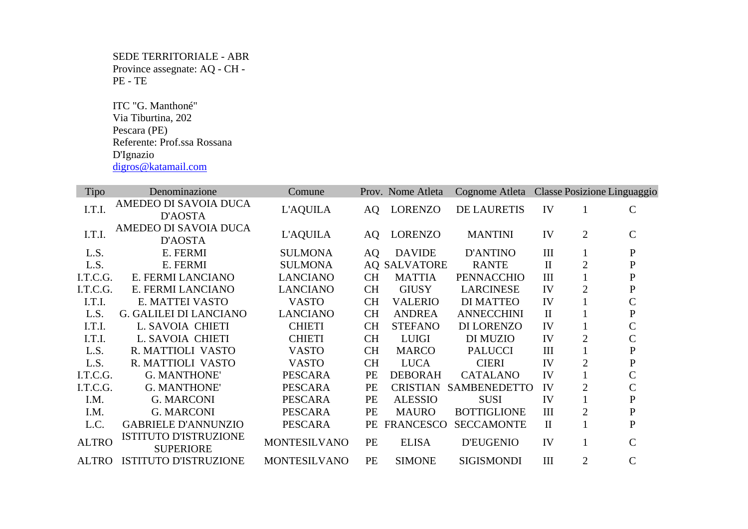SEDE TERRITORIALE - ABR Province assegnate: AQ - CH - PE - TE

 ITC "G. Manthoné" Via Tiburtina, 202 Pescara (PE) Referente: Prof.ssa Rossana D'Ignazio digros@katamail.com

| Tipo         | Denominazione                                    | Comune              |           | Prov. Nome Atleta   | Cognome Atleta Classe Posizione Linguaggio |              |                |                |
|--------------|--------------------------------------------------|---------------------|-----------|---------------------|--------------------------------------------|--------------|----------------|----------------|
| I.T.I.       | AMEDEO DI SAVOIA DUCA<br>D'AOSTA                 | <b>L'AQUILA</b>     | AQ.       | <b>LORENZO</b>      | <b>DE LAURETIS</b>                         | IV           |                | $\mathbf C$    |
| I.T.I.       | AMEDEO DI SAVOIA DUCA<br><b>D'AOSTA</b>          | <b>L'AQUILA</b>     | AQ.       | <b>LORENZO</b>      | <b>MANTINI</b>                             | IV           | $\overline{2}$ | $\mathbf C$    |
| L.S.         | E. FERMI                                         | <b>SULMONA</b>      | AQ        | <b>DAVIDE</b>       | <b>D'ANTINO</b>                            | III          |                | $\mathbf P$    |
| L.S.         | E. FERMI                                         | <b>SULMONA</b>      |           | <b>AQ SALVATORE</b> | <b>RANTE</b>                               | $\mathbf{I}$ | $\overline{2}$ | ${\bf P}$      |
| I.T.C.G.     | E. FERMI LANCIANO                                | <b>LANCIANO</b>     | <b>CH</b> | <b>MATTIA</b>       | <b>PENNACCHIO</b>                          | III          |                | $\mathbf P$    |
| I.T.C.G.     | E. FERMI LANCIANO                                | <b>LANCIANO</b>     | <b>CH</b> | <b>GIUSY</b>        | <b>LARCINESE</b>                           | IV           | $\overline{2}$ | $\mathbf P$    |
| I.T.I.       | E. MATTEI VASTO                                  | <b>VASTO</b>        | <b>CH</b> | <b>VALERIO</b>      | <b>DI MATTEO</b>                           | IV           |                | $\mathsf C$    |
| L.S.         | <b>G. GALILEI DI LANCIANO</b>                    | <b>LANCIANO</b>     | <b>CH</b> | <b>ANDREA</b>       | <b>ANNECCHINI</b>                          | $\mathbf{I}$ |                | $\mathbf P$    |
| I.T.I.       | L. SAVOIA CHIETI                                 | <b>CHIETI</b>       | <b>CH</b> | <b>STEFANO</b>      | DI LORENZO                                 | IV           |                |                |
| I.T.I.       | L. SAVOIA CHIETI                                 | <b>CHIETI</b>       | <b>CH</b> | <b>LUIGI</b>        | DI MUZIO                                   | IV           | $\overline{2}$ | $\mathsf C$    |
| L.S.         | R. MATTIOLI VASTO                                | <b>VASTO</b>        | <b>CH</b> | <b>MARCO</b>        | <b>PALUCCI</b>                             | III          |                | $\mathbf P$    |
| L.S.         | R. MATTIOLI VASTO                                | <b>VASTO</b>        | <b>CH</b> | <b>LUCA</b>         | <b>CIERI</b>                               | IV           | $\overline{2}$ | ${\bf P}$      |
| I.T.C.G.     | <b>G. MANTHONE'</b>                              | <b>PESCARA</b>      | PE        | <b>DEBORAH</b>      | <b>CATALANO</b>                            | IV           |                | $\overline{C}$ |
| I.T.C.G.     | <b>G. MANTHONE'</b>                              | <b>PESCARA</b>      | PE        | <b>CRISTIAN</b>     | <b>SAMBENEDETTO</b>                        | IV           | $\overline{2}$ | C              |
| I.M.         | <b>G. MARCONI</b>                                | <b>PESCARA</b>      | PE        | <b>ALESSIO</b>      | <b>SUSI</b>                                | IV           |                | ${\bf P}$      |
| I.M.         | <b>G. MARCONI</b>                                | <b>PESCARA</b>      | PE        | <b>MAURO</b>        | <b>BOTTIGLIONE</b>                         | III          | $\overline{2}$ | ${\bf P}$      |
| L.C.         | <b>GABRIELE D'ANNUNZIO</b>                       | <b>PESCARA</b>      | <b>PE</b> | <b>FRANCESCO</b>    | <b>SECCAMONTE</b>                          | $\mathbf{I}$ |                | $\mathbf P$    |
| <b>ALTRO</b> | <b>ISTITUTO D'ISTRUZIONE</b><br><b>SUPERIORE</b> | <b>MONTESILVANO</b> | PE        | <b>ELISA</b>        | <b>D'EUGENIO</b>                           | IV           |                | $\mathcal{C}$  |
| <b>ALTRO</b> | <b>ISTITUTO D'ISTRUZIONE</b>                     | <b>MONTESILVANO</b> | PE        | <b>SIMONE</b>       | <b>SIGISMONDI</b>                          | III          | $\overline{2}$ | $\mathcal{C}$  |